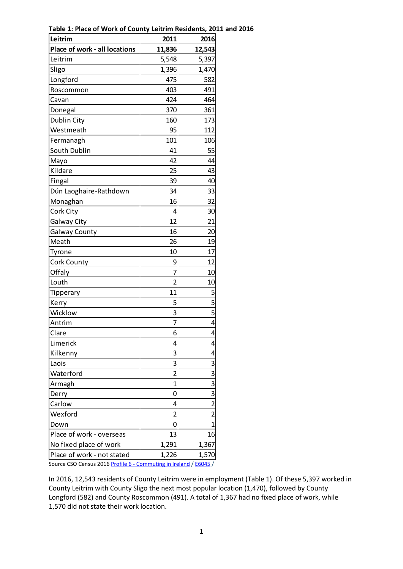| Leitrim                       | 2011           | 2016                    |
|-------------------------------|----------------|-------------------------|
| Place of work - all locations | 11,836         | 12,543                  |
| Leitrim                       | 5,548          | 5,397                   |
| Sligo                         | 1,396          | 1,470                   |
| Longford                      | 475            | 582                     |
| Roscommon                     | 403            | 491                     |
| Cavan                         | 424            | 464                     |
| Donegal                       | 370            | 361                     |
| Dublin City                   | 160            | 173                     |
| Westmeath                     | 95             | 112                     |
| Fermanagh                     | 101            | 106                     |
| South Dublin                  | 41             | 55                      |
| Mayo                          | 42             | 44                      |
| Kildare                       | 25             | 43                      |
| Fingal                        | 39             | 40                      |
| Dún Laoghaire-Rathdown        | 34             | 33                      |
| Monaghan                      | 16             | 32                      |
| Cork City                     | 4              | 30                      |
| Galway City                   | 12             | 21                      |
| <b>Galway County</b>          | 16             | 20                      |
| Meath                         | 26             | 19                      |
| Tyrone                        | 10             | 17                      |
| Cork County                   | 9              | 12                      |
| Offaly                        | 7              | 10                      |
| Louth                         | $\overline{2}$ | 10                      |
| Tipperary                     | 11             | 5                       |
| Kerry                         | 5              | 5                       |
| Wicklow                       | 3              | $\overline{\mathbf{5}}$ |
| Antrim                        | 7              | 4                       |
| Clare                         | 6              | 4                       |
| Limerick                      | 4              | 4                       |
| Kilkenny                      | 3              | 4                       |
| Laois                         | 3              | 3                       |
| Waterford                     | 2              | $\overline{3}$          |
| Armagh                        | $\overline{1}$ | $\overline{3}$          |
| Derry                         | 0              | $\overline{3}$          |
| Carlow                        | 4              | $\overline{2}$          |
| Wexford                       | 2              | $\overline{2}$          |
| Down                          | 0              | $\overline{1}$          |
| Place of work - overseas      | 13             | 16                      |
| No fixed place of work        | 1,291          | 1,367                   |
| Place of work - not stated    | 1,226          | 1,570                   |

**Table 1: Place of Work of County Leitrim Residents, 2011 and 2016**

Source CSO Census 2016 Profile 6 - [Commuting in Ireland](http://www.cso.ie/px/pxeirestat/Database/eirestat/Profile%206%20-%20Commuting%20in%20Ireland/Profile%206%20-%20Commuting%20in%20Ireland_statbank.asp?sp=Profile%206%20-%20Commuting%20in%20Ireland&ProductID=DB_E6) [/ E6045](http://www.cso.ie/px/pxeirestat/Statire/SelectVarVal/Define.asp?Maintable=E6045&Planguage=0) /

In 2016, 12,543 residents of County Leitrim were in employment (Table 1). Of these 5,397 worked in County Leitrim with County Sligo the next most popular location (1,470), followed by County Longford (582) and County Roscommon (491). A total of 1,367 had no fixed place of work, while 1,570 did not state their work location.